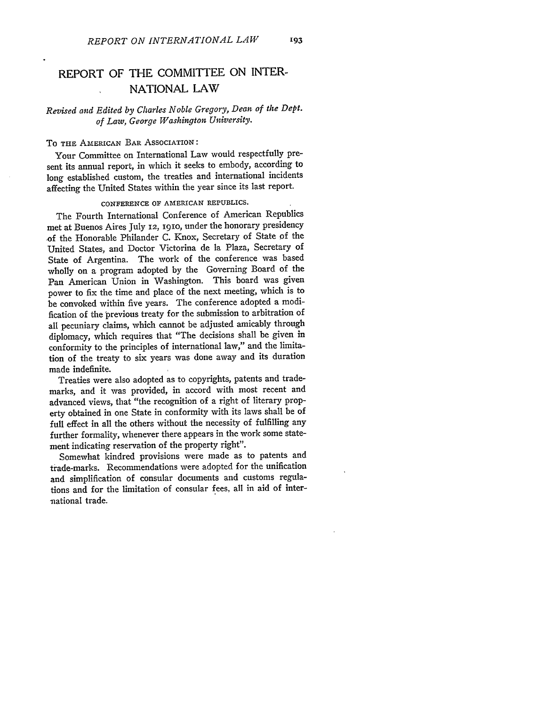# REPORT OF THE COMMITTEE **ON** INTER-**NATIONAL** LAW

# *Revised and Edited by Charles Noble Gregory, Dean of the Dept. of Law, George Washington University.*

# To THE AMERICAN BAR ASSOCIATION:

Your Committee on International Law would respectfully present its annual report, in which it seeks to embody, according to long established custom, the treaties and international incidents affecting the United States within the year since its last report.

# **CONFERENCE** OF **AMERICAN** REPUBLICS.

The Fourth International Conference of American Republics met at Buenos Aires July 12, **i91O,** under the honorary presidency -of the Honorable Philander C. Knox, Secretary of State of the United States, and Doctor Victorina de la Plaza, Secretary of State of Argentina. The work of the conference was based wholly on a program adopted by the Governing Board of the Pan American Union in Washington. This board was given power to fix the time and place of the next meeting, which is to be convoked within five years. The conference adopted a modification of the previous treaty for the submission to arbitration of all pecuniary claims, which cannot be adjusted amicably through diplomacy, which requires that "The decisions shall be given in conformity to the principles of international law," and the limitation of the treaty to six years was done away and its duration made indefinite.

Treaties were also adopted as to copyrights, patents and trademarks, and it was provided, in accord with most recent and advanced views, that "the recognition of a right of literary property obtained in one State in conformity with its laws shall be of full effect in all the others without the necessity of fulfilling any further formality, whenever there appears in the work some statement indicating reservation of the property right".

Somewhat kindred provisions were made as to patents and trade-marks. Recommendations were adopted for the unification and simplification of consular documents and customs regulations and for the limitation of consular fees, all in aid of international trade.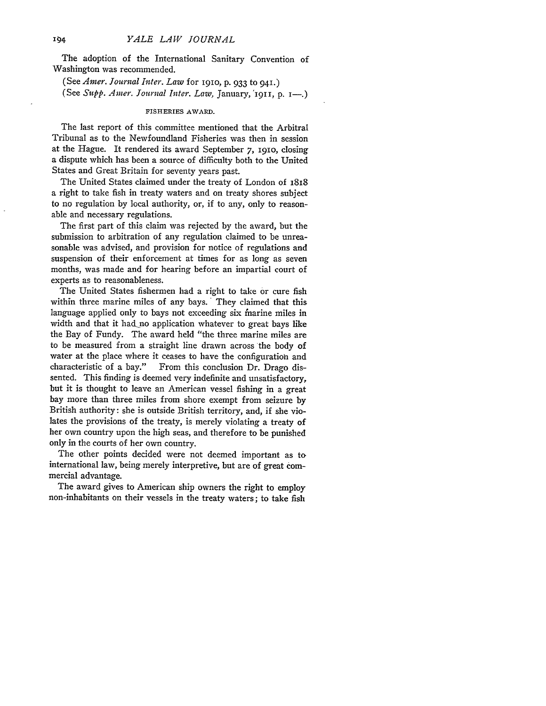The adoption of the International Sanitary Convention of Washington was recommended.

(See *Amer. Journal Inter. Law* for **1910,** p. 933 to 941.) (See Supp. Amer. Journal Inter. Law, January, '1911, p. 1-.)

# **FISHERIES** AWARD.

The last report of this committee mentioned that the Arbitral Tribunal as to the Newfoundland Fisheries was then in session at the Hague. It rendered its award September 7, i9io, closing a dispute which has been a source of difficulty both to the United States and Great Britain for seventy years past.

The United States claimed under the treaty of London of i8i8 a right to take fish in treaty waters and on treaty shores subject to no regulation by local authority, or, if to any, only to reasonable and necessary regulations.

The first part of this claim was rejected by the award, but the submission to arbitration of any regulation claimed to be unreasonable was advised, and provision for notice of regulations and suspension of their enforcement at times for as long as seven months, was made and for hearing before an impartial court of experts as to reasonableness.

The United States fishermen had a right to take or cure fish within three marine miles of any bays. They claimed that this language applied only to bays not exceeding six fnarine miles in width and that it had-no application whatever to great bays like the Bay of Fundy. The award held "the three marine miles are to be measured from a straight line drawn across the body of water at the place where it ceases to have the configuration and characteristic of a bay." From this conclusion Dr. Drago dissented. This finding is deemed very indefinite and unsatisfactory, but it is thought to leave an American vessel fishing in a great bay more than three miles from shore exempt from seizure by British authority: she is outside British territory, and, if she violates the provisions of the treaty, is merely violating a treaty of her own country upon the high seas, and therefore to be punished only in the courts of her own country.

The other points decided were not deemed important as to international law, being merely interpretive, but are of great commercial advantage.

The award gives to American ship owners the right to employ non-inhabitants on their vessels in the treaty waters; to take fish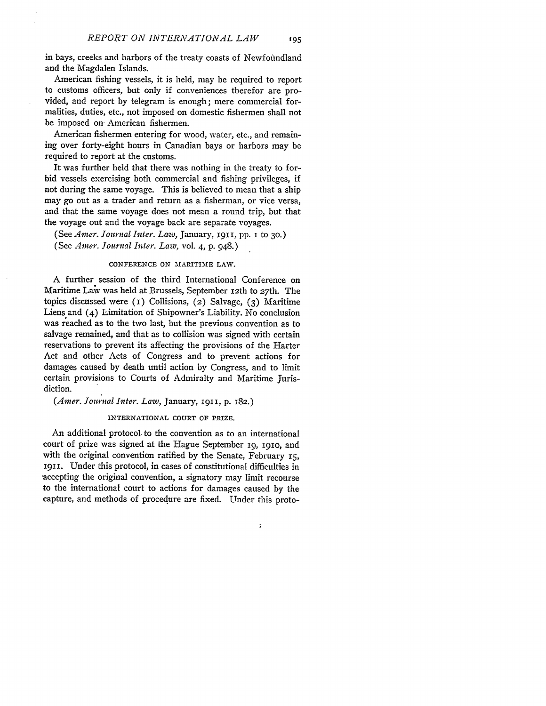in bays, creeks and harbors of the treaty coasts of Newfoundland and the Magdalen Islands.

American fishing vessels, it is held, may be required to report to customs officers, but only if conveniences therefor are provided, and report by telegram is enough; mere commercial formalities, duties, etc., not imposed on domestic fishermen shall not be imposed on American fishermen.

American fishermen entering for wood, water, etc., and remaining over forty-eight hours in Canadian bays or harbors may be required to report at the customs.

It was further held that there was nothing in the treaty to forbid vessels exercising both commercial and fishing privileges, if not during the same voyage. This is believed to mean that a ship may go out as a trader and return as a fisherman, or vice versa, and that the same voyage does not mean a round trip, but that the voyage out and the voyage back are separate voyages.

(See *Amer. Journal litter. Law,* January, 1911, pp. I to **30.)** (See *Amer. Journal Inter. Law, vol. 4, p. 948.)* 

# **CONFERENCE ON** MARITIME **LAV.**

A further session of the third International Conference on Maritime Law was held at Brussels, September i2th to *27th.* The topics discussed were **(I)** Collisions, (2) Salvage, **(3)** Maritime Liens and (4) Limitation of Shipowner's Liability. No conclusion was reached as to the two last, but the previous convention as to salvage remained, and that as to collision was signed with certain reservations to prevent its affecting the provisions of the Harter Act and other Acts of Congress and to prevent actions for damages caused by death until action by Congress, and to limit certain provisions to Courts of Admiralty and Maritime Jurisdiction.

*(Amer. Journal Inter. Law,* January, 1911, p. 182.)

#### INTERNATIONAL **COURT** OF PRIZE.

An additional protocol to the convention as to an international court of prize was signed at the Hague September **19, 191o,** and with the original convention ratified by the Senate, February *15,* 1911. Under this protocol, in cases of constitutional difficulties in accepting the original convention, a signatory may limit recourse to the international court to actions for damages caused by the capture, and methods of procedure are fixed. Under this proto-

 $\overline{ }$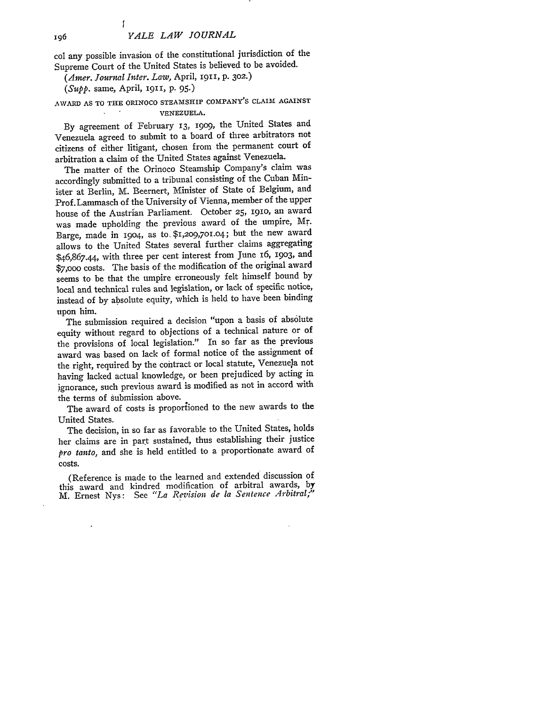col any possible invasion of the constitutional jurisdiction of the Supreme Court of the United States is believed to be avoided.

*(Amer. Journal Inter. Law,* April, 1911, P. **302.)**

# *(Supp.* same, April, 1911, p. 95.)

AWARD AS TO THE ORINOCO STEAMSHIP COMPANY'S CLAIM AGAINST VENEZUELA.

By agreement of February **13,** i9o9, the United States and Venezuela agreed to submit to a board of three arbitrators not citizens of either litigant, chosen from the permanent court of arbitration a claim of the United States against Venezuela.

The matter of the Orinoco Steamship Company's claim was accordingly submitted to a tribunal consisting of the Cuban Minister at Berlin, M. Beernert, Minister of State of Belgium, and Prof. Lammasch of the University of Vienna, member of the upper house of the Austrian Parliament. October 25, 191o, an award was made upholding the previous award of the umpire, Mr. Barge, made in 19o4, as to. \$1,209,701.04; but the new award allows to the United States several further claims aggregating \$46,867.44, with three per cent interest from June 16, 1903, and \$7,ooo costs. The basis of the modification of the original award seems to be that the umpire erroneously felt himself bound by local and technical rules and legislation, or lack of specific notice, instead of by absolute equity, which is held to have been binding upon him.

The submission required a decision "upon a basis of absolute equity without regard to objections of a technical nature or of the provisions of local legislation." In so far as the previous award was based on lack of formal notice of the assignment of the right, required by the contract or local statute, Venezuela not having lacked actual knowledge, or been prejudiced by acting in ignorance, such previous award is modified as not in accord with the terms of submission above.

The award of costs is proporfioned to the new awards to the United States.

The decision, in so far as favorable to the United States, holds her claims are in part sustained, thus establishing their justice *pro tanto,* and she is held entitled to a proportionate award of costs.

(Reference is made to the learned and extended discussion of this award and kindred modification of arbitral awards, by M. Ernest Nys: See "La Revision de la Sentence Arbitral;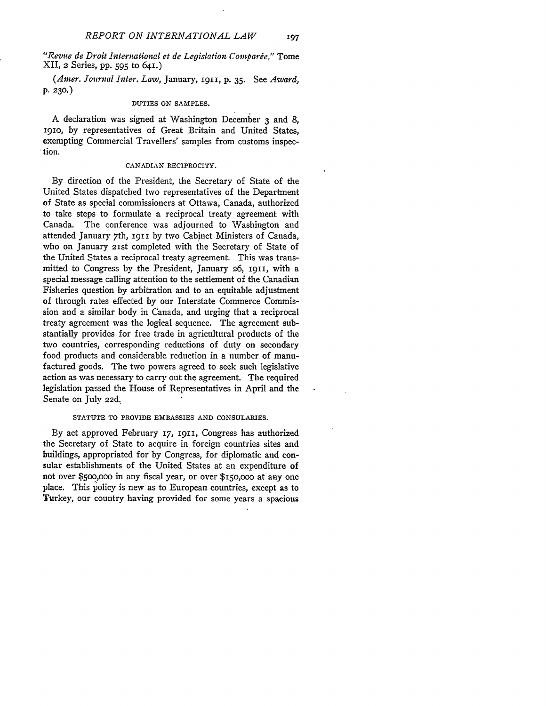*"Revue de Droit International et de Legislation Coinparie,"* Tome XII, 2 Series, pp. **595** to 641.)

*(Amer. Journal itter. Law,* January, **1911,** p. **35.** See *Award,* p. **230.)**

#### **DUTIES ON SAMPLES.**

A declaration was signed at Washington December 3 and 8, **i91o,** by representatives of Great Britain and United States, exempting Commercial Travellers' samples from customs inspection.

#### **CANADIAN** RECIPROCITY.

By direction of the President, the Secretary of State of the United States dispatched two representatives of the Department of State as special commissioners at Ottawa, Canada, authorized to take steps to formulate a reciprocal treaty agreement with Canada. The conference was adjourned to Washington and attended January 7th, 1911 by two Cabinet Ministers of Canada, who on January 2ist completed with the Secretary of State of the United States a reciprocal treaty agreement. This was transmitted to Congress by the President, January **26,** 1911, with a special message calling attention to the settlement of the Canadian Fisheries question by arbitration and to an equitable adjustment of through rates effected by our Interstate Commerce Commission and a similar body in Canada, and urging that a reciprocal treaty agreement was the logical sequence. The agreement substantially provides for free trade in agricultural products of the two countries, corresponding reductions of duty on secondary food products and considerable reduction in a number of manufactured goods. The two powers agreed to seek such legislative action as was necessary to carry out the agreement. The required legislation passed the House of Representatives in April and the Senate on July **22d.**

#### **STATUTE** TO PROVIDE EMBASSIES **AND** CONSULARIES.

By act approved February 17, 1911, Congress has authorized the Secretary of State to acquire in foreign countries sites and buildings, appropriated for by Congress, for diplomatic and consular establishments of the United States at an expenditure of not over \$5oo,ooo in any fiscal year, or over \$i5o,ooo at any one place. This policy is new as to European countries, except as to Turkey, our country having provided for some years a spacious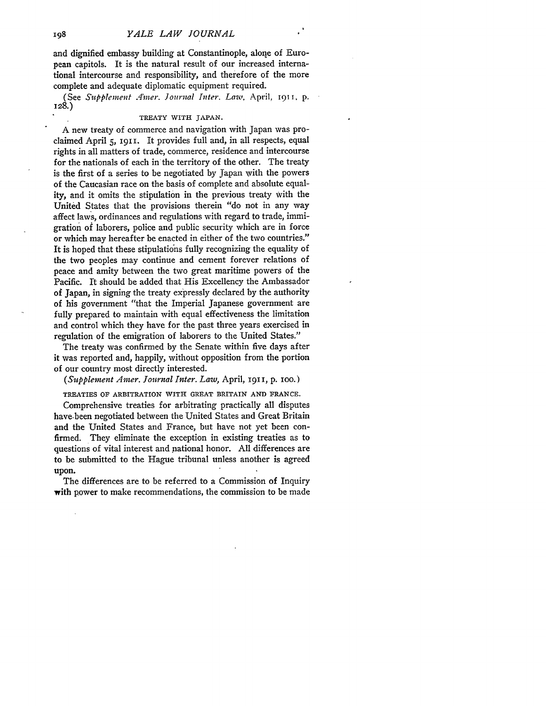and dignified embassy building at Constantinople, alone of European capitols. It is the natural result of our increased international intercourse and responsibility, and therefore of the more complete and adequate diplomatic equipment required.

(See *Supplement Ainer. Journal Inter. Laz,,* April, **1911, p. 128.)**

### TREATY WITH **JAPAN.**

A new treaty of commerce and navigation with Japan was proclaimed April **5, 1911.** It provides full and, in all respects, equal rights in all matters of trade, commerce, residence and intercourse for the nationals of each in the territory of the other. The treaty is the first of a series to be negotiated by Japan with the powers of the Caucasian race on the basis of complete and absolute equality, and it omits the stipulation in the previous treaty with the United States that the provisions therein "do not in any way affect laws, ordinances and regulations with regard to trade, immigration of laborers, police and public security which are in force or which may hereafter be enacted in either of the two countries." It is hoped that these stipulations fully recognizing the equality of the two peoples may continue and cement forever relations of peace and amity between the two great maritime powers of the Pacific. It should be added that His Excellency the Ambassador of Japan, in signing the treaty expressly declared by the authority of his government "that the Imperial Japanese government are fully prepared to maintain with equal effectiveness the limitation and control which they have for the past three years exercised in regulation of the emigration of laborers to the United States."

The treaty was confirmed by the Senate within five days after it was reported and, happily, without opposition from the portion of our country most directly interested.

*(Supplement Amer. Journal Inter. Law,* April, 1911, **p.** ioo.)

TREATIES OF ARBITRATION WITH GREAT BRITAIN **AND FRANCE.**

Comprehensive treaties for arbitrating practically all disputes have.been negotiated between the United States and Great Britain and the United States and France, but have not yet been confirmed. They eliminate the exception in existing treaties as to questions of vital interest and national honor. All differences are to be submitted to the Hague tribunal unless another is agreed upon.

The differences are to be referred to a Commission of Inquiry with power to make recommendations, the commission to be made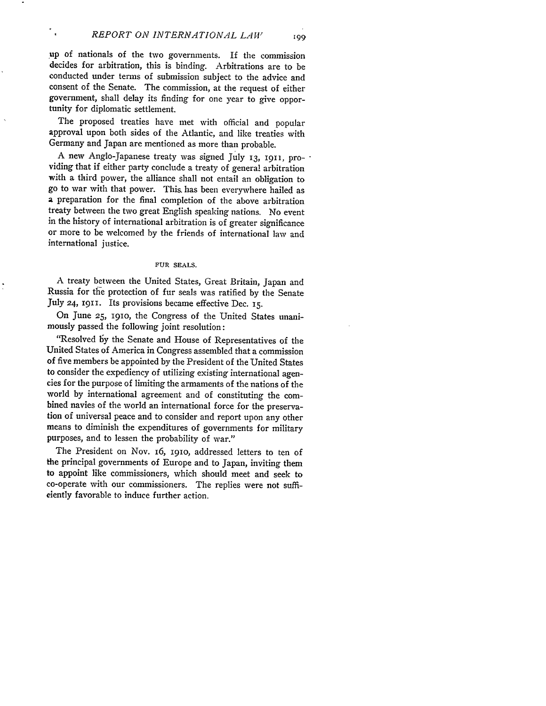up of nationals of the two governments. If the commission decides for arbitration, this is binding. Arbitrations are to be conducted under terms of submission subject to the advice and consent of the Senate. The commission, at the request of either government, shall delay its finding for one year to give opportunity for diplomatic settlement.

The proposed treaties have met with official and popular approval upon both sides of the Atlantic, and like treaties with Germany and Japan are mentioned as more than probable.

A new Anglo-Japanese treaty was signed July *13,* **1911,** providing that if either party conclude a treaty of genera! arbitration with a third power, the alliance shall not entail an obligation to go to war with that power. This. has been everywhere hailed as a preparation for the final completion of the above arbitration treaty between the two great English speaking nations. No event in the history of international arbitration is of greater significance or more to be welcomed by the friends of international law and international justice.

# FUR **SEALS.**

A treaty between the United States, Great Britain, Japan and Russia for the protection of fur seals was ratified by the Senate July 24, 1911. Its provisions became effective Dec. 15.

On June **25, 19io,** the Congress of the United States unanimously passed the following joint resolution:

"Resolved by the Senate and House of Representatives of the United States of America in Congress assembled that a commission of five members be appointed by the President of the United States to consider the expediency of utilizing existing international agencies for the purpose of limiting the armaments of the nations of the world by international agreement and of constituting the combined navies of the world an international force for the preservation of universal peace and to consider and report upon any other means to diminish the expenditures of governments for military purposes, and to lessen the probability of war."

The President on Nov. I6, **191o,** addressed letters to ten of the principal governments of Europe and to Japan, inviting them to appoint like commissioners, which should meet and seek to co-operate with our commissioners. The replies were not sufficiently favorable to induce further action.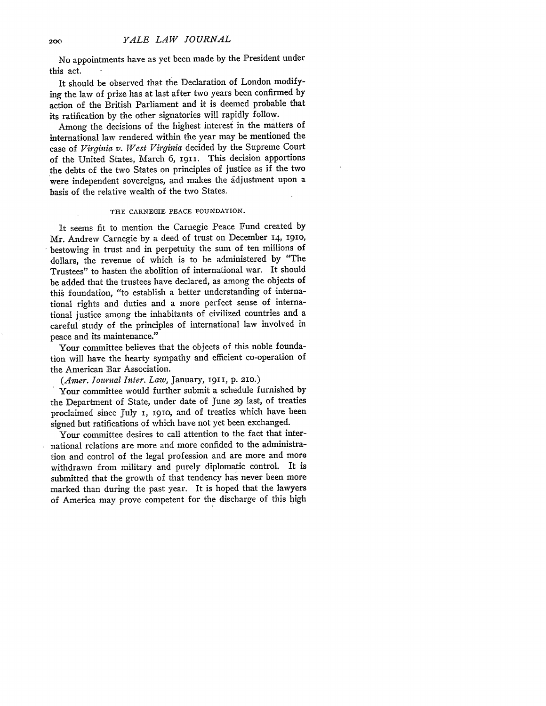No appointments have as yet been made by the President under this act.

It should be observed that the Declaration of London modifying the law of prize has at last after two years been confirmed by action of the British Parliament and it is deemed probable that its ratification by the other signatories will rapidly follow.

Among the decisions of the highest interest in the matters of international law rendered within the year may be mentioned the case of *Virginia v. West Virginia* decided by the Supreme Court of the United States, March 6, 1911. This decision apportions the debts of the two States on principles of justice as if the two were independent sovereigns, and makes the adjustment upon a basis of the relative wealth of the two States.

# **THE CARNEGIE PEACE** FOUNDATION.

It seems fit to mention the Carnegie Peace Fund created by Mr. Andrew Carnegie by a deed of trust on December **14, 1910,** bestowing in trust and in perpetuity the sum of ten millions of dollars, the revenue of which is to be administered by "The Trustees" to hasten the abolition of international war. It should be added that the trustees have declared, as among the objects of this foundation, "to establish a better understanding of international rights and duties and a more perfect sense of international justice among the inhabitants of civilized countries and a careful study of the principles of international law involved in peace and its maintenance."

Your committee believes that the objects of this noble foundation will have the hearty sympathy and efficient co-operation of the American Bar Association.

*(Amer. Journal Inter. Law,* January, **19II,** p. 210.)

Your committee would further submit a schedule furnished by the Department of State, under date of June 29 last, of treaties proclaimed since July **I, 191o,** and of treaties which have been signed but ratifications of which have not yet been exchanged.

Your committee desires to call attention to the fact that international relations are more and more confided to the administration and control of the legal profession and are more and more withdrawn from military and purely diplomatic control. It is submitted that the growth of that tendency has never been more marked than during the past year. It is hoped that the lawyers of America may prove competent for the discharge of this high

200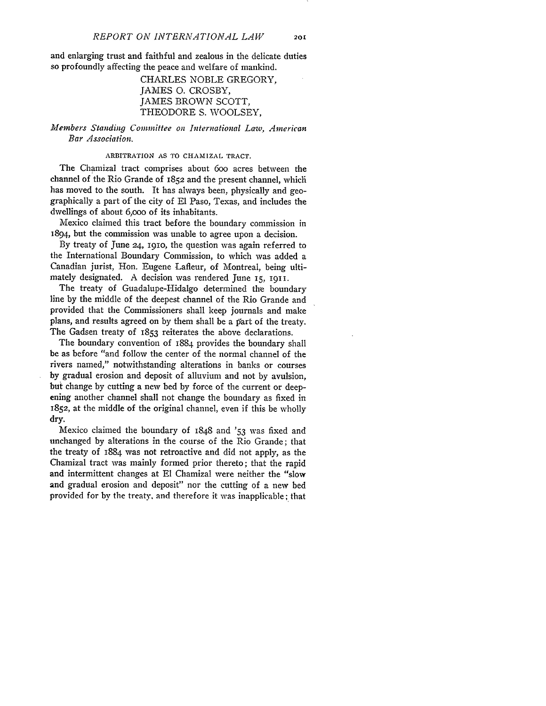and enlarging trust and faithful and zealous in the delicate duties so profoundly affecting the peace and welfare of mankind.

> CHARLES NOBLE GREGORY, JAMES **0.** CROSBY, JAMES BROWN SCOTT, THEODORE S. WOOLSEY,

20I

*Members Standing Committee on International Law, American* Bar Association.

### **ARBITRATION AS** TO **CHAMIZAL** TRACT.

The Chamizal tract comprises about 6oo acres between the channel of the Rio Grande of 1852 and the present channel, which has moved to the south. It has always been, physically and geographically a part of the city of **El** Paso, Texas, and includes the dwellings of about 6,ooo of its inhabitants.

Mexico claimed this tract before the boundary commission in 1894, but the commission was unable to agree upon a decision.

By treaty of June 24, 1910, the question was again referred to the International Boundary Commission, to which was added a Canadian jurist, Hon. Eugene Lafleur, of Montreal, being ultimately designated. A decision was rendered June 15, 1911.

The treaty of Guadalupe-Hidalgo determined the boundary line by the middle of the deepest channel of the Rio Grande and provided that the Commissioners shall keep journals and make plans, and results agreed on by them shall be a part of the treaty. The Gadsen treaty of 1853 reiterates the above declarations.

The boundary convention of 1884 provides the boundary shall be as before "and follow the center of the normal channel of the rivers named," notwithstanding alterations in banks or courses by gradual erosion and deposit of alluvium and not by avulsion, but change by cutting a new bed by force of the current or deepening another channel shall not change the boundary as fixed in 1852, at the middle of the original channel, even if this be wholly dry.

Mexico claimed the boundary of 1848 and '53 was fixed and unchanged by alterations in the course of the Rio Grande; that the treaty of 1884 was not retroactive and did not apply, as the Chamizal tract was mainly formed prior thereto; that the rapid and intermittent changes at **El** Chamizal were neither the "slow and gradual erosion and deposit" nor the cutting of a new bed provided for by the treaty, and therefore it was inapplicable; that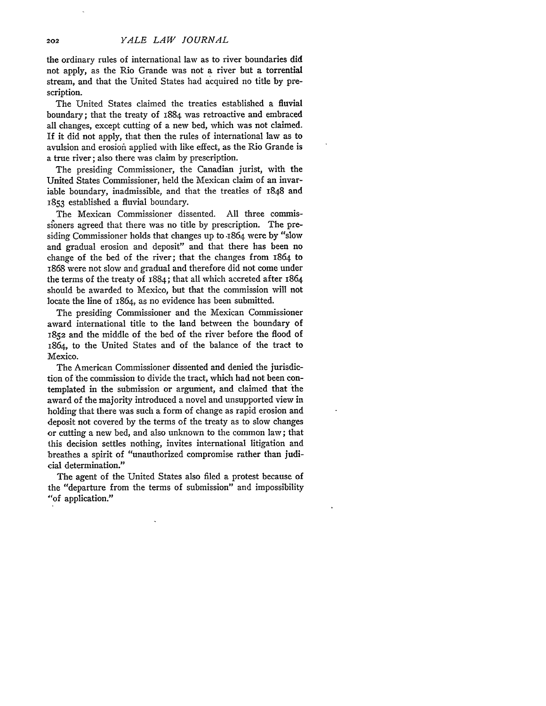the ordinary rules of international law as to river boundaries did not apply, as the Rio Grande was not a river but a torrential stream, and that the United States had acquired no title by prescription.

The United States claimed the treaties established a fluvial boundary; that the treaty of 1884 was retroactive and embraced all changes, except cutting of a new bed, which was not claimed. If it did not apply, that then the rules of international law as to avulsion and erosion applied with like effect, as the Rio Grande is a true river; also there was claim by prescription.

The presiding Commissioner, the Canadian jurist, with the United States Commissioner, held the Mexican claim of an invariable boundary, inadmissible, and that the treaties of 1848 and 1853 established a fluvial boundary.

The Mexican Commissioner dissented. All three commissioners agreed that there was no title by prescription. The presiding Commissioner holds that changes up to -1864 were by "slow and gradual erosion and deposit" and that there has been no change of the bed of the river; that the changes from 1864 to i868 were not slow and gradual and therefore did not come under the terms of the treaty of 1884; that all which accreted after 1864 should be awarded to Mexico, but that the commission will not locate the line of 1864, as no evidence has been submitted.

The presiding Commissioner and the Mexican Commissioner award international title to the land between the boundary of 1852 and the middle of the bed of the river before the flood of 1864, to the United States and of the balance of the tract to Mexico.

The American Commissioner dissented and denied the jurisdiction of the commission to divide the tract, which had not been contemplated in the submission or argument, and claimed that the award of the majority introduced a novel and unsupported view in holding that there was such a form of change as rapid erosion and deposit not covered by the terms of the treaty as to slow changes or cutting a new bed, and also unknown to the common law; that this decision settles nothing, invites international litigation and breathes a spirit of "unauthorized compromise rather than judicial determination."

The agent of the United States also filed a protest because of the "departure from the terms of submission" and impossibility *"'of* application."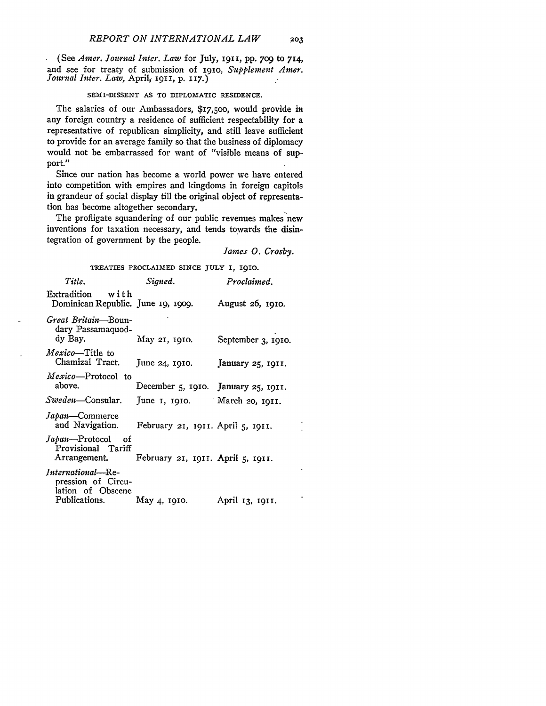(See *Amer. Journal Inter. Law* for July, 1911, **pp. 709 to** 714, and see for treaty of submission of **191o,** *Supplement Amer. Journal Inter. Law,* April, 1911, **p. 117.)**  $\mathbb{R}^2$ 

# SEMI-DISSENT **AS TO** DIPLOMATIC **RESIDENCE.**

The salaries of our Ambassadors, \$17,5oo, would provide in any foreign country a residence of sufficient respectability for a representative of republican simplicity, and still leave sufficient to provide for an average family so that the business of diplomacy would not be embarrassed for want of "visible means of support."

Since our nation has become a world power we have entered into competition with empires and kingdoms in foreign capitols in grandeur of social display till the original object of representation has become altogether secondary,

The profligate squandering of our public revenues makes new inventions for taxation necessary, and tends towards the disintegration of government **by** the people.

*James 0. Crosby.*

TREATIES PROCLAIMED **SINCE JULY I, 1910.**

| Title.                                                                                             | Signed.                                           | Proclaimed.        |
|----------------------------------------------------------------------------------------------------|---------------------------------------------------|--------------------|
| Extradition with<br>Dominican Republic. June 19, 1909.                                             |                                                   | August 26, 1910.   |
| Great Britain—Boun-<br>dary Passamaquod-<br>dy Bay.                                                | May 21, 1910.                                     | September 3, 1910. |
| <i>Mexico</i> —Title to                                                                            | Chamizal Tract. June 24, 1910. January 25, 1911.  |                    |
| Mexico-Protocol to<br>above.                                                                       | December 5, 1910. January 25, 1911.               |                    |
| Sweden-Consular. June 1, 1910. March 20, 1911.                                                     |                                                   |                    |
| Japan—Commerce                                                                                     | and Navigation. February 21, 1911. April 5, 1911. |                    |
| <i>Japan</i> —Protocol of<br>Provisional Tariff                                                    | Arrangement. February 21, 1911. April 5, 1911.    |                    |
| <i>International</i> —Re-<br>pression of Circu-<br>lation of Obscene<br>Publications. May 4, 1910. |                                                   | April 13, 1911.    |